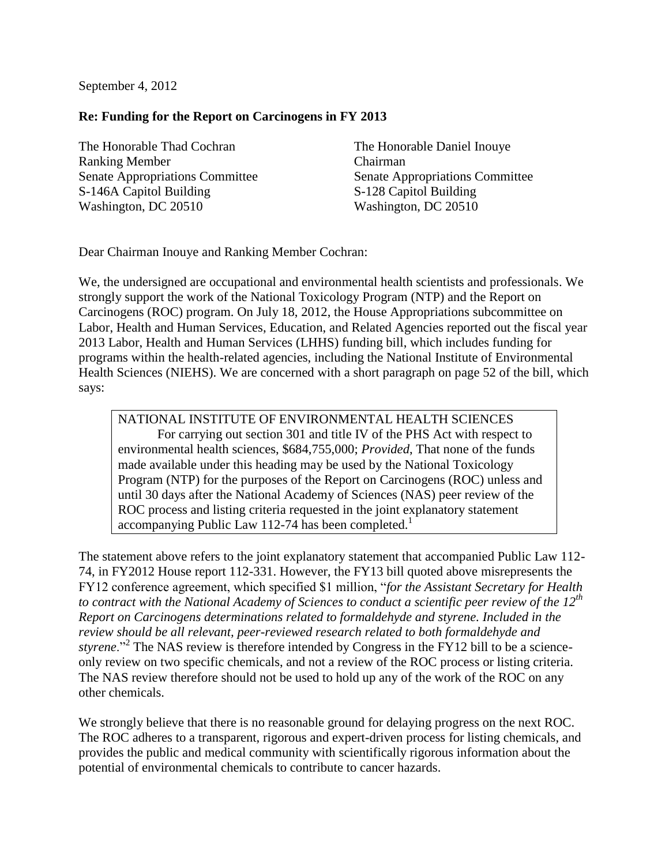September 4, 2012

## **Re: Funding for the Report on Carcinogens in FY 2013**

The Honorable Thad Cochran Ranking Member Senate Appropriations Committee S-146A Capitol Building Washington, DC 20510

The Honorable Daniel Inouye Chairman Senate Appropriations Committee S-128 Capitol Building Washington, DC 20510

Dear Chairman Inouye and Ranking Member Cochran:

We, the undersigned are occupational and environmental health scientists and professionals. We strongly support the work of the National Toxicology Program (NTP) and the Report on Carcinogens (ROC) program. On July 18, 2012, the House Appropriations subcommittee on Labor, Health and Human Services, Education, and Related Agencies reported out the fiscal year 2013 Labor, Health and Human Services (LHHS) funding bill, which includes funding for programs within the health-related agencies, including the National Institute of Environmental Health Sciences (NIEHS). We are concerned with a short paragraph on page 52 of the bill, which says:

## NATIONAL INSTITUTE OF ENVIRONMENTAL HEALTH SCIENCES For carrying out section 301 and title IV of the PHS Act with respect to environmental health sciences, \$684,755,000; *Provided*, That none of the funds made available under this heading may be used by the National Toxicology Program (NTP) for the purposes of the Report on Carcinogens (ROC) unless and until 30 days after the National Academy of Sciences (NAS) peer review of the ROC process and listing criteria requested in the joint explanatory statement accompanying Public Law 112-74 has been completed.<sup>1</sup>

The statement above refers to the joint explanatory statement that accompanied Public Law 112- 74, in FY2012 House report 112-331. However, the FY13 bill quoted above misrepresents the FY12 conference agreement, which specified \$1 million, "*for the Assistant Secretary for Health to contract with the National Academy of Sciences to conduct a scientific peer review of the 12th Report on Carcinogens determinations related to formaldehyde and styrene. Included in the review should be all relevant, peer-reviewed research related to both formaldehyde and*  styrene."<sup>2</sup> The NAS review is therefore intended by Congress in the FY12 bill to be a scienceonly review on two specific chemicals, and not a review of the ROC process or listing criteria. The NAS review therefore should not be used to hold up any of the work of the ROC on any other chemicals.

We strongly believe that there is no reasonable ground for delaying progress on the next ROC. The ROC adheres to a transparent, rigorous and expert-driven process for listing chemicals, and provides the public and medical community with scientifically rigorous information about the potential of environmental chemicals to contribute to cancer hazards.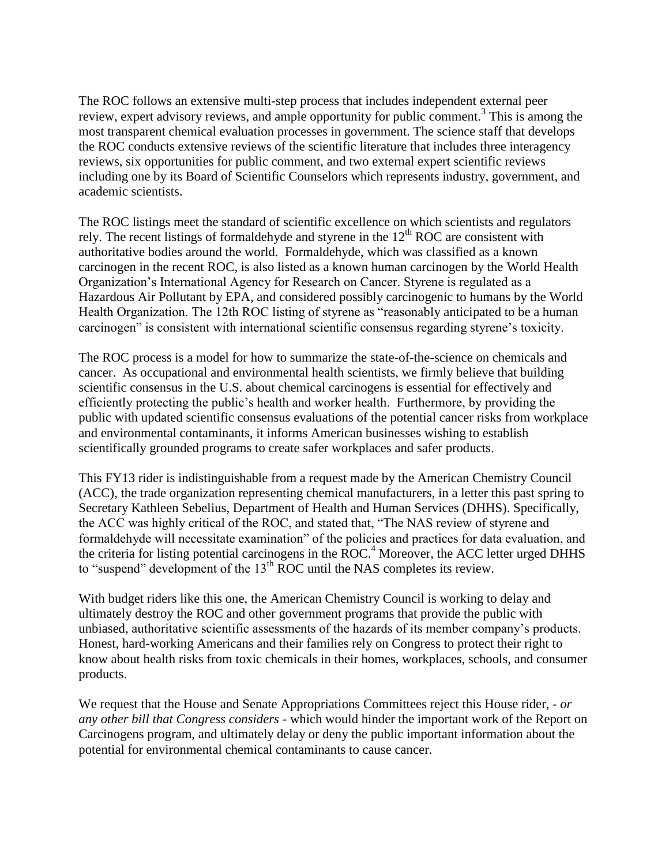The ROC follows an extensive multi-step process that includes independent external peer review, expert advisory reviews, and ample opportunity for public comment.<sup>3</sup> This is among the most transparent chemical evaluation processes in government. The science staff that develops the ROC conducts extensive reviews of the scientific literature that includes three interagency reviews, six opportunities for public comment, and two external expert scientific reviews including one by its Board of Scientific Counselors which represents industry, government, and academic scientists.

The ROC listings meet the standard of scientific excellence on which scientists and regulators rely. The recent listings of formaldehyde and styrene in the  $12<sup>th</sup>$  ROC are consistent with authoritative bodies around the world. Formaldehyde, which was classified as a known carcinogen in the recent ROC, is also listed as a known human carcinogen by the World Health Organization's International Agency for Research on Cancer. Styrene is regulated as a Hazardous Air Pollutant by EPA, and considered possibly carcinogenic to humans by the World Health Organization. The 12th ROC listing of styrene as "reasonably anticipated to be a human carcinogen" is consistent with international scientific consensus regarding styrene's toxicity.

The ROC process is a model for how to summarize the state-of-the-science on chemicals and cancer. As occupational and environmental health scientists, we firmly believe that building scientific consensus in the U.S. about chemical carcinogens is essential for effectively and efficiently protecting the public's health and worker health. Furthermore, by providing the public with updated scientific consensus evaluations of the potential cancer risks from workplace and environmental contaminants, it informs American businesses wishing to establish scientifically grounded programs to create safer workplaces and safer products.

This FY13 rider is indistinguishable from a request made by the American Chemistry Council (ACC), the trade organization representing chemical manufacturers, in a letter this past spring to Secretary Kathleen Sebelius, Department of Health and Human Services (DHHS). Specifically, the ACC was highly critical of the ROC, and stated that, "The NAS review of styrene and formaldehyde will necessitate examination" of the policies and practices for data evaluation, and the criteria for listing potential carcinogens in the  $\overline{ROC}^4$  Moreover, the ACC letter urged DHHS to "suspend" development of the  $13<sup>th</sup>$  ROC until the NAS completes its review.

With budget riders like this one, the American Chemistry Council is working to delay and ultimately destroy the ROC and other government programs that provide the public with unbiased, authoritative scientific assessments of the hazards of its member company's products. Honest, hard-working Americans and their families rely on Congress to protect their right to know about health risks from toxic chemicals in their homes, workplaces, schools, and consumer products.

We request that the House and Senate Appropriations Committees reject this House rider, - *or any other bill that Congress considers* - which would hinder the important work of the Report on Carcinogens program, and ultimately delay or deny the public important information about the potential for environmental chemical contaminants to cause cancer.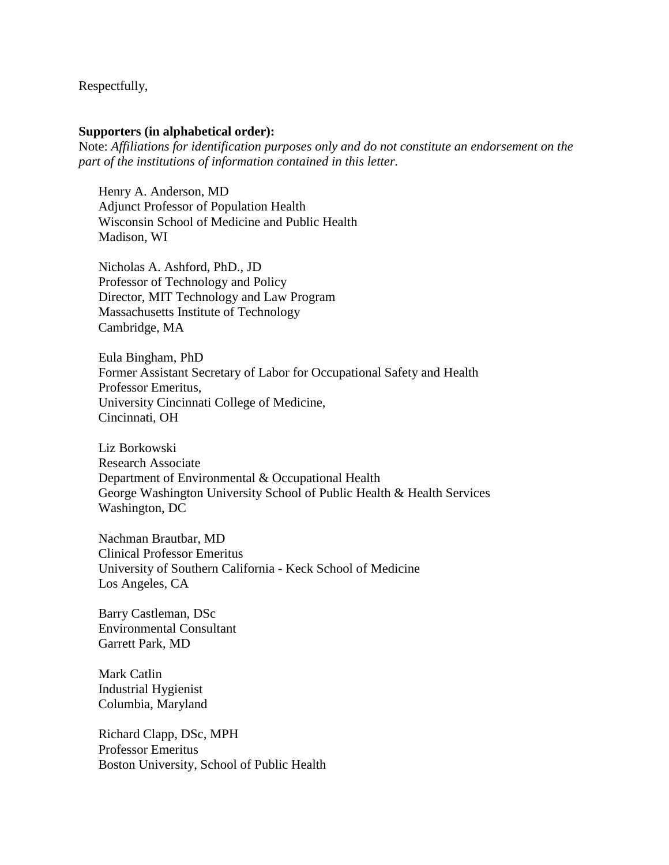Respectfully,

## **Supporters (in alphabetical order):**

Note: *Affiliations for identification purposes only and do not constitute an endorsement on the part of the institutions of information contained in this letter.*

Henry A. Anderson, MD Adjunct Professor of Population Health Wisconsin School of Medicine and Public Health Madison, WI

Nicholas A. Ashford, PhD., JD Professor of Technology and Policy Director, MIT Technology and Law Program Massachusetts Institute of Technology Cambridge, MA

Eula Bingham, PhD Former Assistant Secretary of Labor for Occupational Safety and Health Professor Emeritus, University Cincinnati College of Medicine, Cincinnati, OH

Liz Borkowski Research Associate Department of Environmental & Occupational Health George Washington University School of Public Health & Health Services Washington, DC

Nachman Brautbar, MD Clinical Professor Emeritus University of Southern California - Keck School of Medicine Los Angeles, CA

Barry Castleman, DSc Environmental Consultant Garrett Park, MD

Mark Catlin Industrial Hygienist Columbia, Maryland

Richard Clapp, DSc, MPH Professor Emeritus Boston University, School of Public Health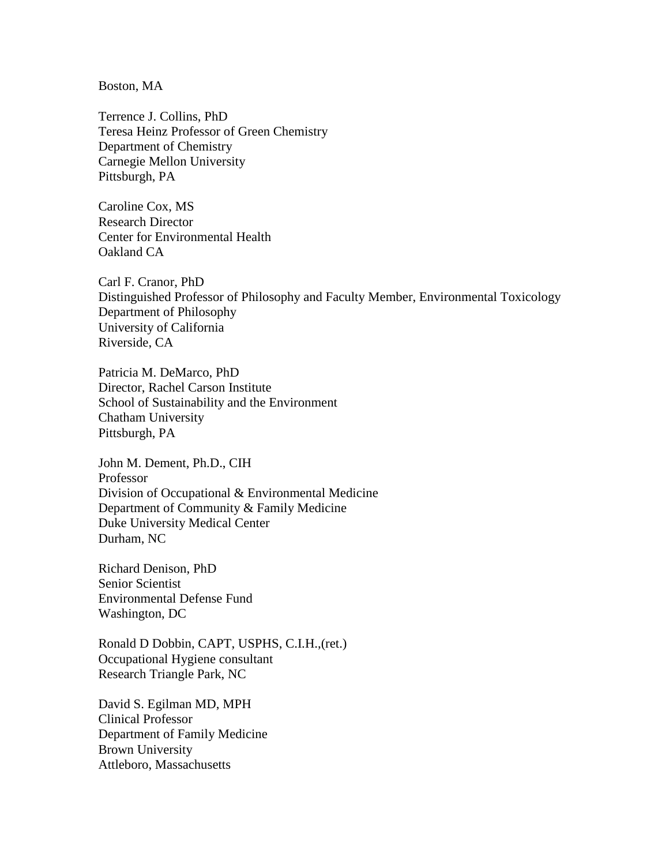Boston, MA

Terrence J. Collins, PhD Teresa Heinz Professor of Green Chemistry Department of Chemistry Carnegie Mellon University Pittsburgh, PA

Caroline Cox, MS Research Director Center for Environmental Health Oakland CA

Carl F. Cranor, PhD Distinguished Professor of Philosophy and Faculty Member, Environmental Toxicology Department of Philosophy University of California Riverside, CA

Patricia M. DeMarco, PhD Director, Rachel Carson Institute School of Sustainability and the Environment Chatham University Pittsburgh, PA

John M. Dement, Ph.D., CIH Professor Division of Occupational & Environmental Medicine Department of Community & Family Medicine Duke University Medical Center Durham, NC

Richard Denison, PhD Senior Scientist Environmental Defense Fund Washington, DC

Ronald D Dobbin, CAPT, USPHS, C.I.H.,(ret.) Occupational Hygiene consultant Research Triangle Park, NC

David S. Egilman MD, MPH Clinical Professor Department of Family Medicine Brown University Attleboro, Massachusetts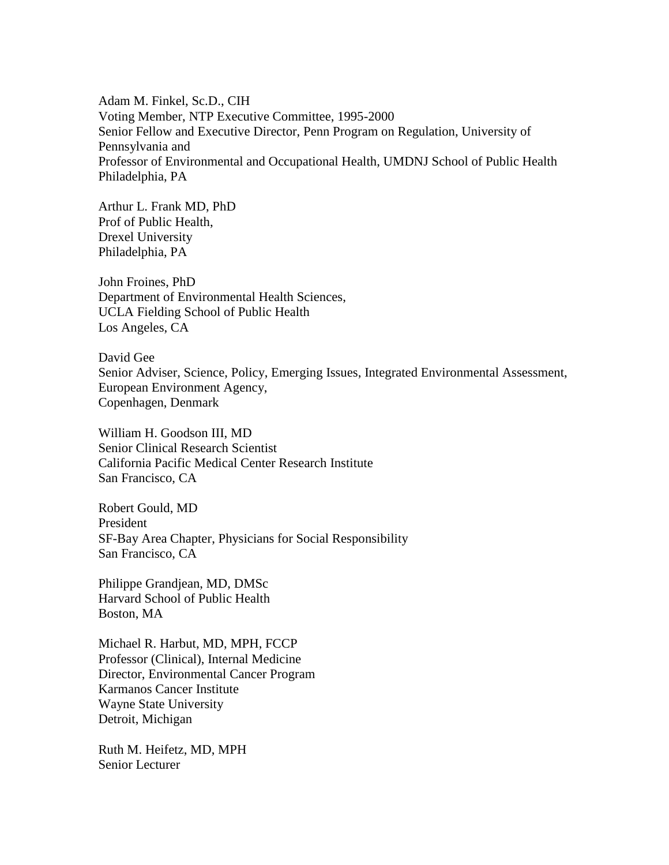Adam M. Finkel, Sc.D., CIH Voting Member, NTP Executive Committee, 1995-2000 Senior Fellow and Executive Director, Penn Program on Regulation, University of Pennsylvania and Professor of Environmental and Occupational Health, UMDNJ School of Public Health Philadelphia, PA

Arthur L. Frank MD, PhD Prof of Public Health, Drexel University Philadelphia, PA

John Froines, PhD Department of Environmental Health Sciences, UCLA Fielding School of Public Health Los Angeles, CA

David Gee Senior Adviser, Science, Policy, Emerging Issues, Integrated Environmental Assessment, European Environment Agency, Copenhagen, Denmark

William H. Goodson III, MD Senior Clinical Research Scientist California Pacific Medical Center Research Institute San Francisco, CA

Robert Gould, MD President SF-Bay Area Chapter, Physicians for Social Responsibility San Francisco, CA

Philippe Grandjean, MD, DMSc Harvard School of Public Health Boston, MA

Michael R. Harbut, MD, MPH, FCCP Professor (Clinical), Internal Medicine Director, Environmental Cancer Program Karmanos Cancer Institute Wayne State University Detroit, Michigan

Ruth M. Heifetz, MD, MPH Senior Lecturer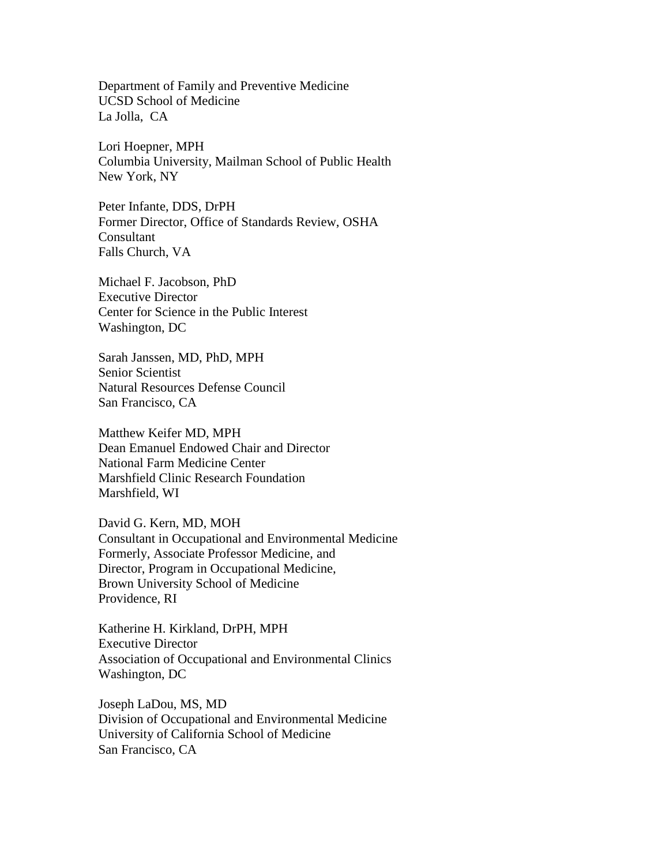Department of Family and Preventive Medicine UCSD School of Medicine La Jolla, CA

Lori Hoepner, MPH Columbia University, Mailman School of Public Health New York, NY

Peter Infante, DDS, DrPH Former Director, Office of Standards Review, OSHA Consultant Falls Church, VA

Michael F. Jacobson, PhD Executive Director Center for Science in the Public Interest Washington, DC

Sarah Janssen, MD, PhD, MPH Senior Scientist Natural Resources Defense Council San Francisco, CA

Matthew Keifer MD, MPH Dean Emanuel Endowed Chair and Director National Farm Medicine Center Marshfield Clinic Research Foundation Marshfield, WI

David G. Kern, MD, MOH Consultant in Occupational and Environmental Medicine Formerly, Associate Professor Medicine, and Director, Program in Occupational Medicine, Brown University School of Medicine Providence, RI

Katherine H. Kirkland, DrPH, MPH Executive Director Association of Occupational and Environmental Clinics Washington, DC

Joseph LaDou, MS, MD Division of Occupational and Environmental Medicine University of California School of Medicine San Francisco, CA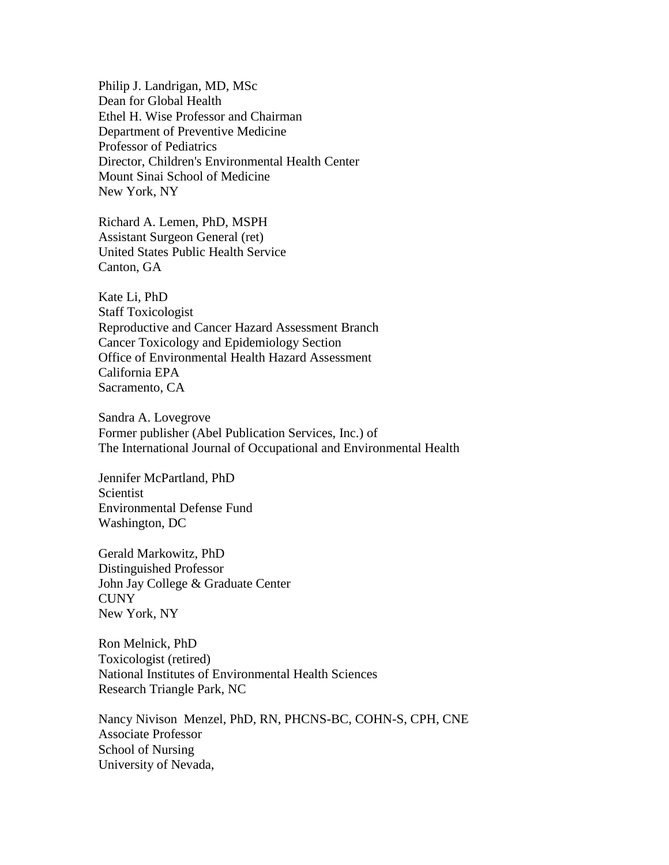Philip J. Landrigan, MD, MSc Dean for Global Health Ethel H. Wise Professor and Chairman Department of Preventive Medicine Professor of Pediatrics Director, Children's Environmental Health Center Mount Sinai School of Medicine New York, NY

Richard A. Lemen, PhD, MSPH Assistant Surgeon General (ret) United States Public Health Service Canton, GA

Kate Li, PhD Staff Toxicologist Reproductive and Cancer Hazard Assessment Branch Cancer Toxicology and Epidemiology Section Office of Environmental Health Hazard Assessment California EPA Sacramento, CA

Sandra A. Lovegrove Former publisher (Abel Publication Services, Inc.) of The International Journal of Occupational and Environmental Health

Jennifer McPartland, PhD **Scientist** Environmental Defense Fund Washington, DC

Gerald Markowitz, PhD Distinguished Professor John Jay College & Graduate Center **CUNY** New York, NY

Ron Melnick, PhD Toxicologist (retired) National Institutes of Environmental Health Sciences Research Triangle Park, NC

Nancy Nivison Menzel, PhD, RN, PHCNS-BC, COHN-S, CPH, CNE Associate Professor School of Nursing University of Nevada,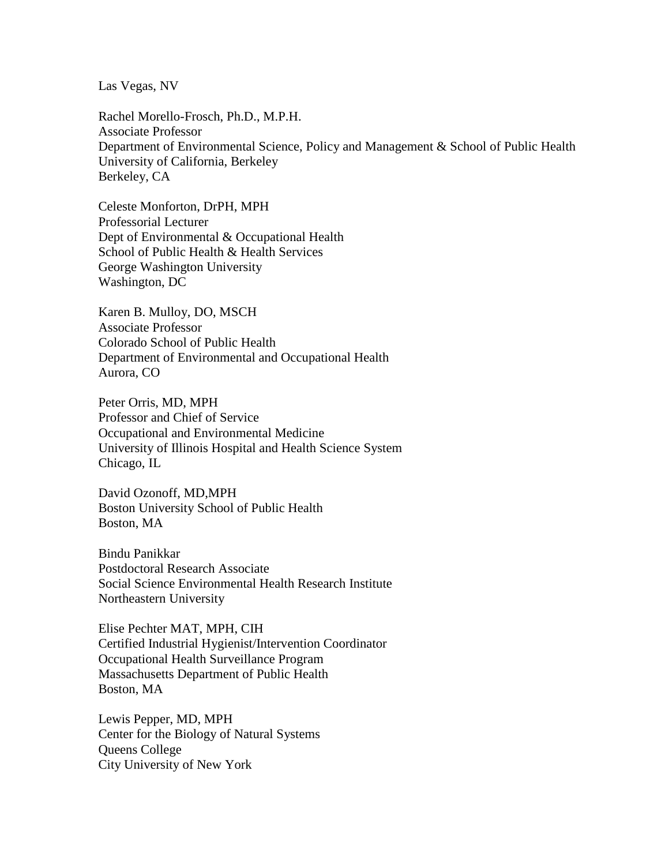Las Vegas, NV

Rachel Morello-Frosch, Ph.D., M.P.H. Associate Professor Department of Environmental Science, Policy and Management & School of Public Health University of California, Berkeley Berkeley, CA

Celeste Monforton, DrPH, MPH Professorial Lecturer Dept of Environmental & Occupational Health School of Public Health & Health Services George Washington University Washington, DC

Karen B. Mulloy, DO, MSCH Associate Professor Colorado School of Public Health Department of Environmental and Occupational Health Aurora, CO

Peter Orris, MD, MPH Professor and Chief of Service Occupational and Environmental Medicine University of Illinois Hospital and Health Science System Chicago, IL

David Ozonoff, MD,MPH Boston University School of Public Health Boston, MA

Bindu Panikkar Postdoctoral Research Associate Social Science Environmental Health Research Institute Northeastern University

Elise Pechter MAT, MPH, CIH Certified Industrial Hygienist/Intervention Coordinator Occupational Health Surveillance Program Massachusetts Department of Public Health Boston, MA

Lewis Pepper, MD, MPH Center for the Biology of Natural Systems Queens College City University of New York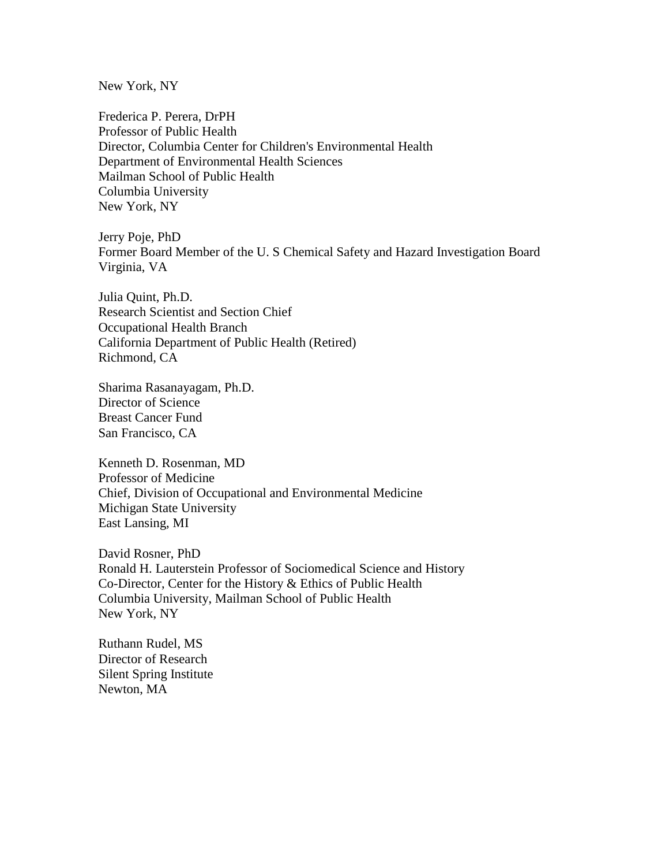New York, NY

Frederica P. Perera, DrPH Professor of Public Health Director, Columbia Center for Children's Environmental Health Department of Environmental Health Sciences Mailman School of Public Health Columbia University New York, NY

Jerry Poje, PhD Former Board Member of the U. S Chemical Safety and Hazard Investigation Board Virginia, VA

Julia Quint, Ph.D. Research Scientist and Section Chief Occupational Health Branch California Department of Public Health (Retired) Richmond, CA

Sharima Rasanayagam, Ph.D. Director of Science Breast Cancer Fund San Francisco, CA

Kenneth D. Rosenman, MD Professor of Medicine Chief, Division of Occupational and Environmental Medicine Michigan State University East Lansing, MI

David Rosner, PhD Ronald H. Lauterstein Professor of Sociomedical Science and History Co-Director, Center for the History & Ethics of Public Health Columbia University, Mailman School of Public Health New York, NY

Ruthann Rudel, MS Director of Research Silent Spring Institute Newton, MA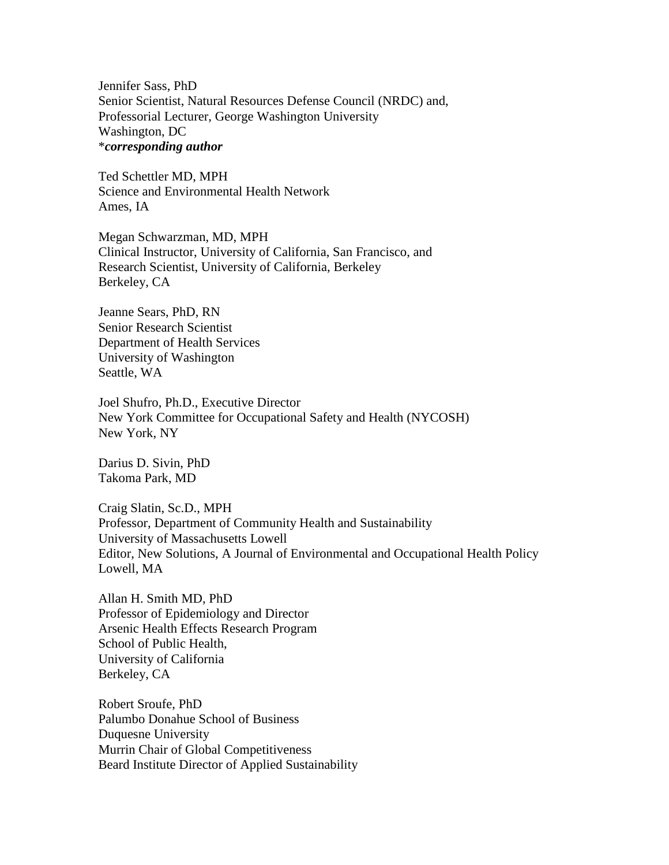Jennifer Sass, PhD Senior Scientist, Natural Resources Defense Council (NRDC) and, Professorial Lecturer, George Washington University Washington, DC \**corresponding author*

Ted Schettler MD, MPH Science and Environmental Health Network Ames, IA

Megan Schwarzman, MD, MPH Clinical Instructor, University of California, San Francisco, and Research Scientist, University of California, Berkeley Berkeley, CA

Jeanne Sears, PhD, RN Senior Research Scientist Department of Health Services University of Washington Seattle, WA

Joel Shufro, Ph.D., Executive Director New York Committee for Occupational Safety and Health (NYCOSH) New York, NY

Darius D. Sivin, PhD Takoma Park, MD

Craig Slatin, Sc.D., MPH Professor, Department of Community Health and Sustainability University of Massachusetts Lowell Editor, New Solutions, A Journal of Environmental and Occupational Health Policy Lowell, MA

Allan H. Smith MD, PhD Professor of Epidemiology and Director Arsenic Health Effects Research Program School of Public Health, University of California Berkeley, CA

Robert Sroufe, PhD Palumbo Donahue School of Business Duquesne University Murrin Chair of Global Competitiveness Beard Institute Director of Applied Sustainability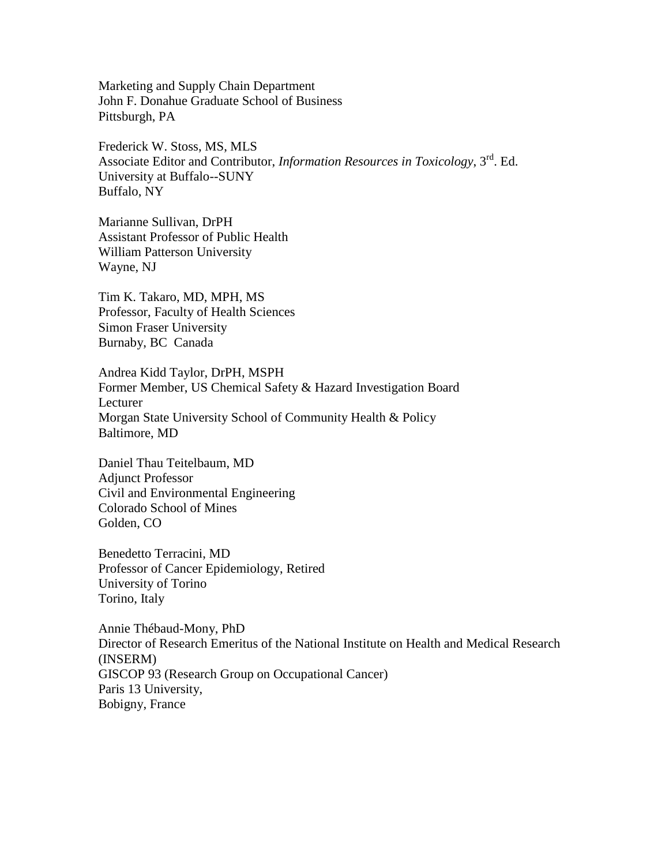Marketing and Supply Chain Department John F. Donahue Graduate School of Business Pittsburgh, PA

Frederick W. Stoss, MS, MLS Associate Editor and Contributor, *Information Resources in Toxicology*, 3rd. Ed. University at Buffalo--SUNY Buffalo, NY

Marianne Sullivan, DrPH Assistant Professor of Public Health William Patterson University Wayne, NJ

Tim K. Takaro, MD, MPH, MS Professor, Faculty of Health Sciences Simon Fraser University Burnaby, BC Canada

Andrea Kidd Taylor, DrPH, MSPH Former Member, US Chemical Safety & Hazard Investigation Board Lecturer Morgan State University School of Community Health & Policy Baltimore, MD

Daniel Thau Teitelbaum, MD Adjunct Professor Civil and Environmental Engineering Colorado School of Mines Golden, CO

Benedetto Terracini, MD Professor of Cancer Epidemiology, Retired University of Torino Torino, Italy

Annie Thébaud-Mony, PhD Director of Research Emeritus of the National Institute on Health and Medical Research (INSERM) GISCOP 93 (Research Group on Occupational Cancer) Paris 13 University, Bobigny, France